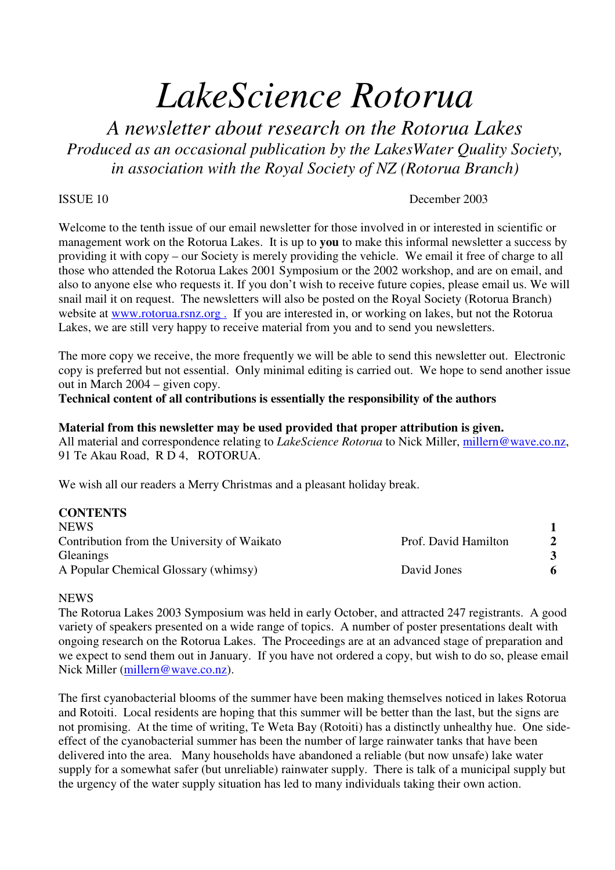# *LakeScience Rotorua*

*A newsletter about research on the Rotorua Lakes Produced as an occasional publication by the LakesWater Quality Society, in association with the Royal Society of NZ (Rotorua Branch)*

#### ISSUE 10 December 2003

Welcome to the tenth issue of our email newsletter for those involved in or interested in scientific or management work on the Rotorua Lakes. It is up to **you** to make this informal newsletter a success by providing it with copy – our Society is merely providing the vehicle. We email it free of charge to all those who attended the Rotorua Lakes 2001 Symposium or the 2002 workshop, and are on email, and also to anyone else who requests it. If you don't wish to receive future copies, please email us. We will snail mail it on request. The newsletters will also be posted on the Royal Society (Rotorua Branch) website at www.rotorua.rsnz.org. If you are interested in, or working on lakes, but not the Rotorua Lakes, we are still very happy to receive material from you and to send you newsletters.

The more copy we receive, the more frequently we will be able to send this newsletter out. Electronic copy is preferred but not essential. Only minimal editing is carried out. We hope to send another issue out in March 2004 – given copy.

**Technical content of all contributions is essentially the responsibility of the authors**

#### **Material from this newsletter may be used provided that proper attribution is given.**

All material and correspondence relating to *LakeScience Rotorua* to Nick Miller, millern@wave.co.nz, 91 Te Akau Road, R D 4, ROTORUA.

We wish all our readers a Merry Christmas and a pleasant holiday break.

| <b>CONTENTS</b>                             |                      |              |
|---------------------------------------------|----------------------|--------------|
| <b>NEWS</b>                                 |                      |              |
| Contribution from the University of Waikato | Prof. David Hamilton | $\mathbf{2}$ |
| <b>Gleanings</b>                            |                      | 3            |
| A Popular Chemical Glossary (whimsy)        | David Jones          | 6            |
|                                             |                      |              |

#### NEWS

The Rotorua Lakes 2003 Symposium was held in early October, and attracted 247 registrants. A good variety of speakers presented on a wide range of topics. A number of poster presentations dealt with ongoing research on the Rotorua Lakes. The Proceedings are at an advanced stage of preparation and we expect to send them out in January. If you have not ordered a copy, but wish to do so, please email Nick Miller (millern@wave.co.nz).

The first cyanobacterial blooms of the summer have been making themselves noticed in lakes Rotorua and Rotoiti. Local residents are hoping that this summer will be better than the last, but the signs are not promising. At the time of writing, Te Weta Bay (Rotoiti) has a distinctly unhealthy hue. One sideeffect of the cyanobacterial summer has been the number of large rainwater tanks that have been delivered into the area. Many households have abandoned a reliable (but now unsafe) lake water supply for a somewhat safer (but unreliable) rainwater supply. There is talk of a municipal supply but the urgency of the water supply situation has led to many individuals taking their own action.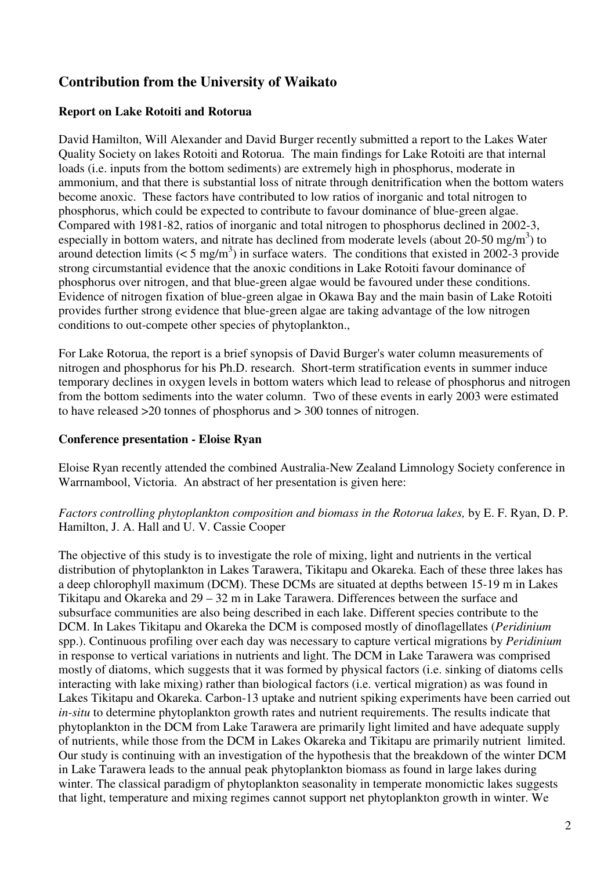# **Contribution from the University of Waikato**

# **Report on Lake Rotoiti and Rotorua**

David Hamilton, Will Alexander and David Burger recently submitted a report to the Lakes Water Quality Society on lakes Rotoiti and Rotorua. The main findings for Lake Rotoiti are that internal loads (i.e. inputs from the bottom sediments) are extremely high in phosphorus, moderate in ammonium, and that there is substantial loss of nitrate through denitrification when the bottom waters become anoxic. These factors have contributed to low ratios of inorganic and total nitrogen to phosphorus, which could be expected to contribute to favour dominance of blue-green algae. Compared with 1981-82, ratios of inorganic and total nitrogen to phosphorus declined in 2002-3, especially in bottom waters, and nitrate has declined from moderate levels (about 20-50 mg/m<sup>3</sup>) to around detection limits ( $\lt 5$  mg/m<sup>3</sup>) in surface waters. The conditions that existed in 2002-3 provide strong circumstantial evidence that the anoxic conditions in Lake Rotoiti favour dominance of phosphorus over nitrogen, and that blue-green algae would be favoured under these conditions. Evidence of nitrogen fixation of blue-green algae in Okawa Bay and the main basin of Lake Rotoiti provides further strong evidence that blue-green algae are taking advantage of the low nitrogen conditions to out-compete other species of phytoplankton.,

For Lake Rotorua, the report is a brief synopsis of David Burger's water column measurements of nitrogen and phosphorus for his Ph.D. research. Short-term stratification events in summer induce temporary declines in oxygen levels in bottom waters which lead to release of phosphorus and nitrogen from the bottom sediments into the water column. Two of these events in early 2003 were estimated to have released >20 tonnes of phosphorus and > 300 tonnes of nitrogen.

## **Conference presentation - Eloise Ryan**

Eloise Ryan recently attended the combined Australia-New Zealand Limnology Society conference in Warrnambool, Victoria. An abstract of her presentation is given here:

## *Factors controlling phytoplankton composition and biomass in the Rotorua lakes,* by E. F. Ryan, D. P. Hamilton, J. A. Hall and U. V. Cassie Cooper

The objective of this study is to investigate the role of mixing, light and nutrients in the vertical distribution of phytoplankton in Lakes Tarawera, Tikitapu and Okareka. Each of these three lakes has a deep chlorophyll maximum (DCM). These DCMs are situated at depths between 15-19 m in Lakes Tikitapu and Okareka and 29 – 32 m in Lake Tarawera. Differences between the surface and subsurface communities are also being described in each lake. Different species contribute to the DCM. In Lakes Tikitapu and Okareka the DCM is composed mostly of dinoflagellates (*Peridinium* spp.). Continuous profiling over each day was necessary to capture vertical migrations by *Peridinium* in response to vertical variations in nutrients and light. The DCM in Lake Tarawera was comprised mostly of diatoms, which suggests that it was formed by physical factors (i.e. sinking of diatoms cells interacting with lake mixing) rather than biological factors (i.e. vertical migration) as was found in Lakes Tikitapu and Okareka. Carbon-13 uptake and nutrient spiking experiments have been carried out *in-situ* to determine phytoplankton growth rates and nutrient requirements. The results indicate that phytoplankton in the DCM from Lake Tarawera are primarily light limited and have adequate supply of nutrients, while those from the DCM in Lakes Okareka and Tikitapu are primarily nutrient limited. Our study is continuing with an investigation of the hypothesis that the breakdown of the winter DCM in Lake Tarawera leads to the annual peak phytoplankton biomass as found in large lakes during winter. The classical paradigm of phytoplankton seasonality in temperate monomictic lakes suggests that light, temperature and mixing regimes cannot support net phytoplankton growth in winter. We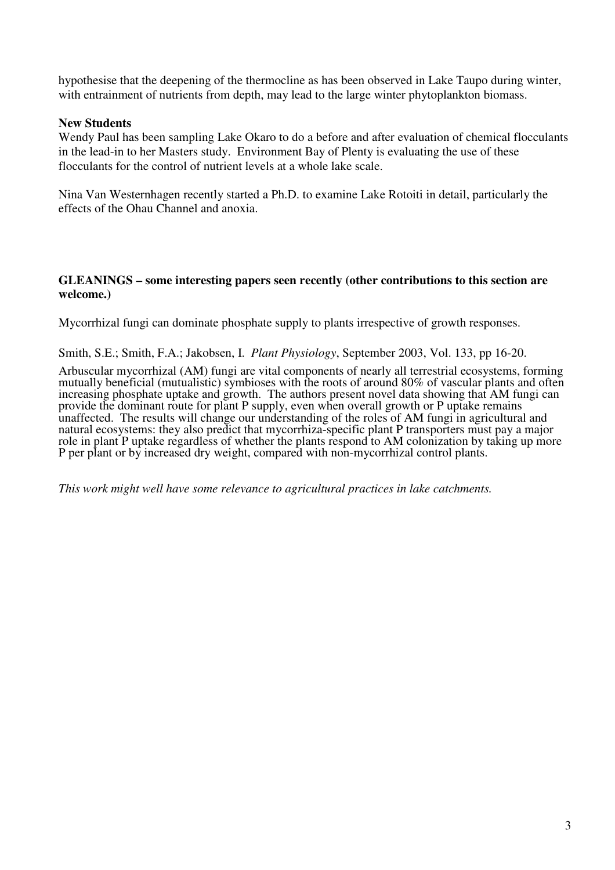hypothesise that the deepening of the thermocline as has been observed in Lake Taupo during winter, with entrainment of nutrients from depth, may lead to the large winter phytoplankton biomass.

## **New Students**

Wendy Paul has been sampling Lake Okaro to do a before and after evaluation of chemical flocculants in the lead-in to her Masters study. Environment Bay of Plenty is evaluating the use of these flocculants for the control of nutrient levels at a whole lake scale.

Nina Van Westernhagen recently started a Ph.D. to examine Lake Rotoiti in detail, particularly the effects of the Ohau Channel and anoxia.

#### **GLEANINGS – some interesting papers seen recently (other contributions to this section are welcome.)**

Mycorrhizal fungi can dominate phosphate supply to plants irrespective of growth responses.

Smith, S.E.; Smith, F.A.; Jakobsen, I. *Plant Physiology*, September 2003, Vol. 133, pp 16-20.

Arbuscular mycorrhizal (AM) fungi are vital components of nearly all terrestrial ecosystems, forming mutually beneficial (mutualistic) symbioses with the roots of around 80% of vascular plants and often increasing phosphate uptake and growth. The authors present novel data showing that AM fungi can provide the dominant route for plant P supply, even when overall growth or P uptake remains unaffected. The results will change our understanding of the roles of AM fungi in agricultural and natural ecosystems: they also predict that mycorrhiza-specific plant P transporters must pay a major role in plant P uptake regardless of whether the plants respond to AM colonization by taking up more P per plant or by increased dry weight, compared with non-mycorrhizal control plants.

*This work might well have some relevance to agricultural practices in lake catchments.*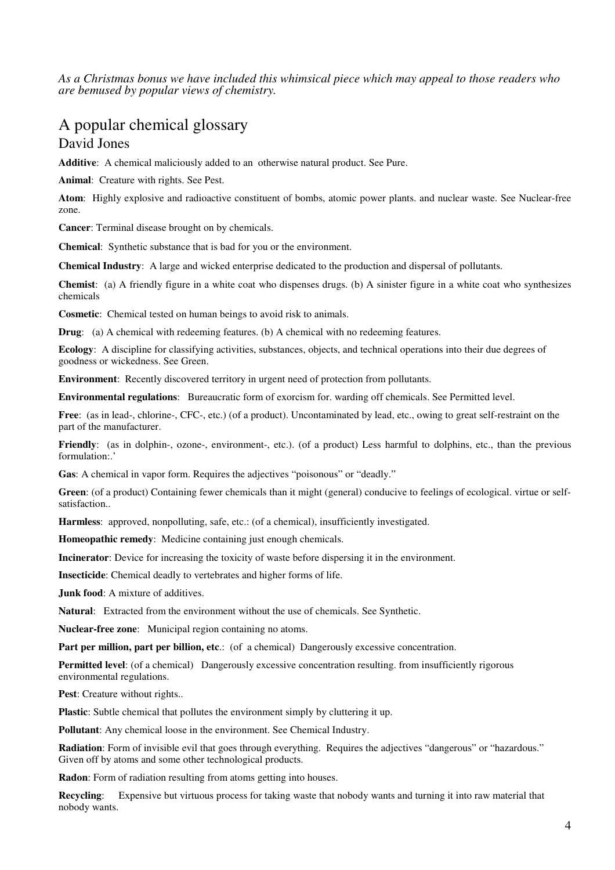*As a Christmas bonus we have included this whimsical piece which may appeal to those readers who are bemused by popular views of chemistry.*

# A popular chemical glossary David Jones

**Additive**: A chemical maliciously added to an otherwise natural product. See Pure.

**Animal**: Creature with rights. See Pest.

**Atom**: Highly explosive and radioactive constituent of bombs, atomic power plants. and nuclear waste. See Nuclear-free zone.

**Cancer**: Terminal disease brought on by chemicals.

**Chemical**: Synthetic substance that is bad for you or the environment.

**Chemical Industry**: A large and wicked enterprise dedicated to the production and dispersal of pollutants.

**Chemist**: (a) A friendly figure in a white coat who dispenses drugs. (b) A sinister figure in a white coat who synthesizes chemicals

**Cosmetic**: Chemical tested on human beings to avoid risk to animals.

**Drug**: (a) A chemical with redeeming features. (b) A chemical with no redeeming features.

**Ecology**: A discipline for classifying activities, substances, objects, and technical operations into their due degrees of goodness or wickedness. See Green.

**Environment**: Recently discovered territory in urgent need of protection from pollutants.

**Environmental regulations**: Bureaucratic form of exorcism for. warding off chemicals. See Permitted level.

**Free**: (as in lead-, chlorine-, CFC-, etc.) (of a product). Uncontaminated by lead, etc., owing to great self-restraint on the part of the manufacturer.

**Friendly**: (as in dolphin-, ozone-, environment-, etc.). (of a product) Less harmful to dolphins, etc., than the previous formulation:.'

**Gas**: A chemical in vapor form. Requires the adjectives "poisonous" or "deadly."

**Green**: (of a product) Containing fewer chemicals than it might (general) conducive to feelings of ecological. virtue or selfsatisfaction..

**Harmless**: approved, nonpolluting, safe, etc.: (of a chemical), insufficiently investigated.

**Homeopathic remedy**: Medicine containing just enough chemicals.

**Incinerator**: Device for increasing the toxicity of waste before dispersing it in the environment.

**Insecticide**: Chemical deadly to vertebrates and higher forms of life.

**Junk food**: A mixture of additives.

**Natural**: Extracted from the environment without the use of chemicals. See Synthetic.

**Nuclear-free zone**: Municipal region containing no atoms.

**Part per million, part per billion, etc**.: (of a chemical) Dangerously excessive concentration.

**Permitted level**: (of a chemical) Dangerously excessive concentration resulting. from insufficiently rigorous environmental regulations.

**Pest**: Creature without rights..

**Plastic**: Subtle chemical that pollutes the environment simply by cluttering it up.

**Pollutant**: Any chemical loose in the environment. See Chemical Industry.

**Radiation**: Form of invisible evil that goes through everything. Requires the adjectives "dangerous" or "hazardous." Given off by atoms and some other technological products.

**Radon**: Form of radiation resulting from atoms getting into houses.

**Recycling**: Expensive but virtuous process for taking waste that nobody wants and turning it into raw material that nobody wants.